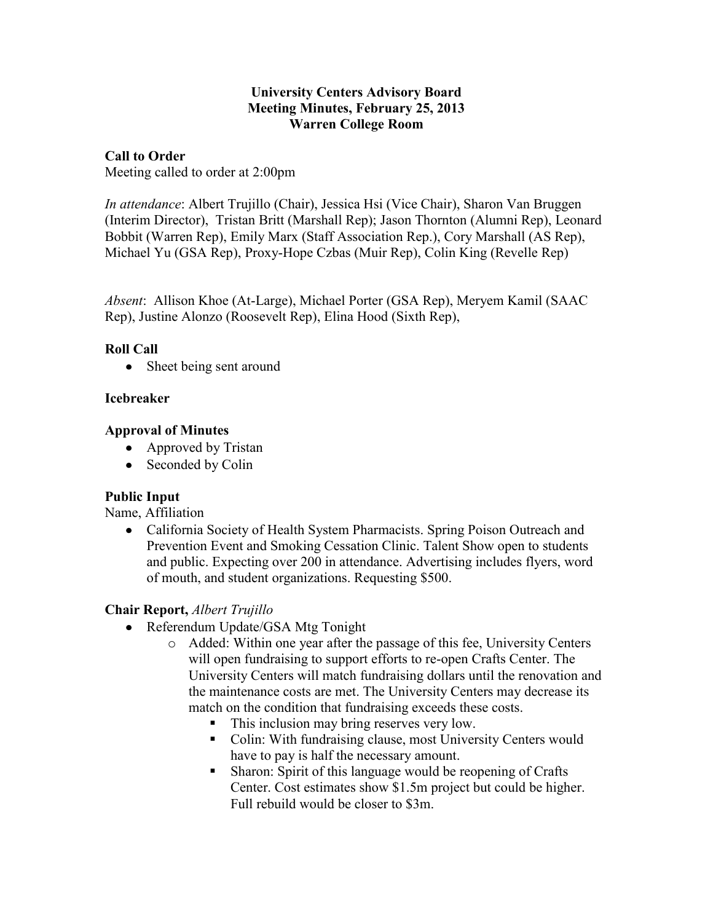#### **University Centers Advisory Board Meeting Minutes, February 25, 2013 Warren College Room**

# **Call to Order**

Meeting called to order at 2:00pm

*In attendance*: Albert Trujillo (Chair), Jessica Hsi (Vice Chair), Sharon Van Bruggen (Interim Director), Tristan Britt (Marshall Rep); Jason Thornton (Alumni Rep), Leonard Bobbit (Warren Rep), Emily Marx (Staff Association Rep.), Cory Marshall (AS Rep), Michael Yu (GSA Rep), Proxy-Hope Czbas (Muir Rep), Colin King (Revelle Rep)

*Absent*: Allison Khoe (At-Large), Michael Porter (GSA Rep), Meryem Kamil (SAAC Rep), Justine Alonzo (Roosevelt Rep), Elina Hood (Sixth Rep),

#### **Roll Call**

• Sheet being sent around

#### **Icebreaker**

#### **Approval of Minutes**

- Approved by Tristan
- Seconded by Colin

# **Public Input**

Name, Affiliation

• California Society of Health System Pharmacists. Spring Poison Outreach and Prevention Event and Smoking Cessation Clinic. Talent Show open to students and public. Expecting over 200 in attendance. Advertising includes flyers, word of mouth, and student organizations. Requesting \$500.

# **Chair Report,** *Albert Trujillo*

- Referendum Update/GSA Mtg Tonight
	- o Added: Within one year after the passage of this fee, University Centers will open fundraising to support efforts to re-open Crafts Center. The University Centers will match fundraising dollars until the renovation and the maintenance costs are met. The University Centers may decrease its match on the condition that fundraising exceeds these costs.
		- This inclusion may bring reserves very low.
		- Colin: With fundraising clause, most University Centers would have to pay is half the necessary amount.
		- Sharon: Spirit of this language would be reopening of Crafts Center. Cost estimates show \$1.5m project but could be higher. Full rebuild would be closer to \$3m.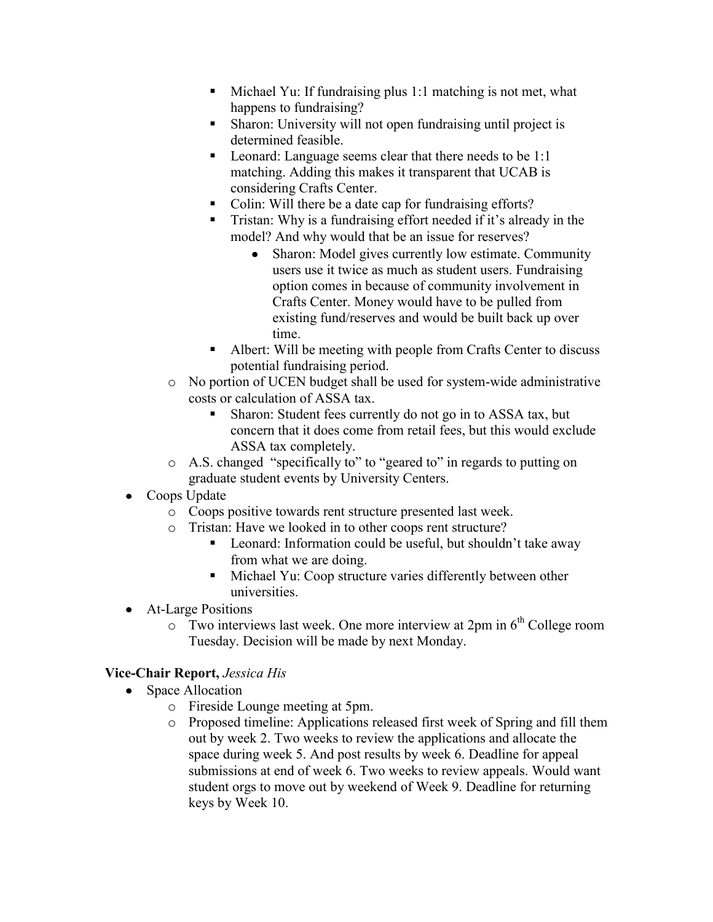- $\blacksquare$  Michael Yu: If fundraising plus 1:1 matching is not met, what happens to fundraising?
- Sharon: University will not open fundraising until project is determined feasible.
- **EXECUTE:** Leonard: Language seems clear that there needs to be 1:1 matching. Adding this makes it transparent that UCAB is considering Crafts Center.
- Colin: Will there be a date cap for fundraising efforts?
- Tristan: Why is a fundraising effort needed if it's already in the model? And why would that be an issue for reserves?
	- $\bullet$ Sharon: Model gives currently low estimate. Community users use it twice as much as student users. Fundraising option comes in because of community involvement in Crafts Center. Money would have to be pulled from existing fund/reserves and would be built back up over time.
- Albert: Will be meeting with people from Crafts Center to discuss potential fundraising period.
- o No portion of UCEN budget shall be used for system-wide administrative costs or calculation of ASSA tax.
	- Sharon: Student fees currently do not go in to ASSA tax, but concern that it does come from retail fees, but this would exclude ASSA tax completely.
- o A.S. changed "specifically to" to "geared to" in regards to putting on graduate student events by University Centers.
- Coops Update
	- o Coops positive towards rent structure presented last week.
	- o Tristan: Have we looked in to other coops rent structure?
		- Leonard: Information could be useful, but shouldn't take away from what we are doing.
		- **Michael Yu: Coop structure varies differently between other** universities.
- At-Large Positions
	- $\circ$  Two interviews last week. One more interview at 2pm in  $6<sup>th</sup>$  College room Tuesday. Decision will be made by next Monday.

# **Vice-Chair Report,** *Jessica His*

- Space Allocation
	- o Fireside Lounge meeting at 5pm.
	- o Proposed timeline: Applications released first week of Spring and fill them out by week 2. Two weeks to review the applications and allocate the space during week 5. And post results by week 6. Deadline for appeal submissions at end of week 6. Two weeks to review appeals. Would want student orgs to move out by weekend of Week 9. Deadline for returning keys by Week 10.